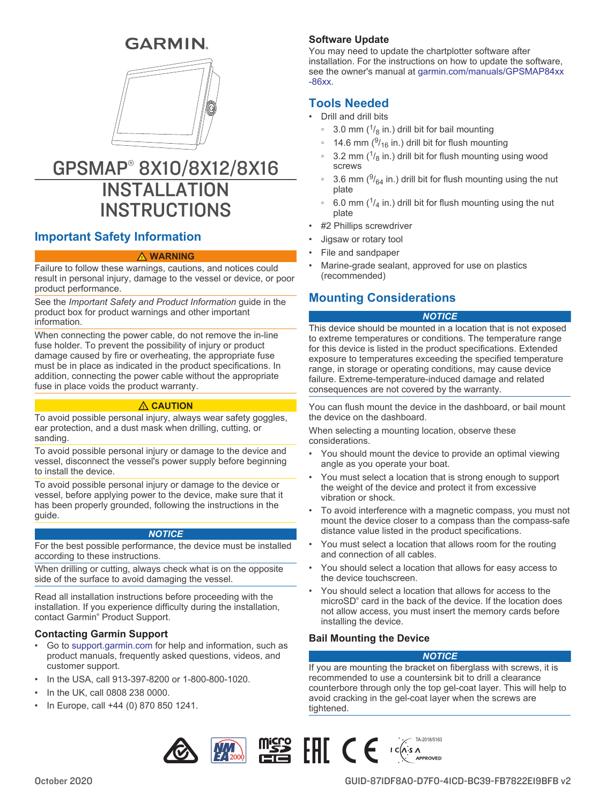# **GARMIN.**



# GPSMAP® 8X10/8X12/8X16 INSTALL ATION **INSTRUCTIONS**

# **Important Safety Information**

#### **WARNING**

Failure to follow these warnings, cautions, and notices could result in personal injury, damage to the vessel or device, or poor product performance.

See the *Important Safety and Product Information* guide in the product box for product warnings and other important information.

When connecting the power cable, do not remove the in-line fuse holder. To prevent the possibility of injury or product damage caused by fire or overheating, the appropriate fuse must be in place as indicated in the product specifications. In addition, connecting the power cable without the appropriate fuse in place voids the product warranty.

### **CAUTION**

To avoid possible personal injury, always wear safety goggles, ear protection, and a dust mask when drilling, cutting, or sanding.

To avoid possible personal injury or damage to the device and vessel, disconnect the vessel's power supply before beginning to install the device.

To avoid possible personal injury or damage to the device or vessel, before applying power to the device, make sure that it has been properly grounded, following the instructions in the guide.

#### *NOTICE*

For the best possible performance, the device must be installed according to these instructions.

When drilling or cutting, always check what is on the opposite side of the surface to avoid damaging the vessel.

Read all installation instructions before proceeding with the installation. If you experience difficulty during the installation, contact Garmin® Product Support.

# **Contacting Garmin Support**

- Go to [support.garmin.com](http://www.support.garmin.com) for help and information, such as product manuals, frequently asked questions, videos, and customer support.
- In the USA, call 913-397-8200 or 1-800-800-1020.
- In the UK, call 0808 238 0000.
- In Europe, call +44 (0) 870 850 1241.

# **Software Update**

You may need to update the chartplotter software after installation. For the instructions on how to update the software, see the owner's manual at [garmin.com/manuals/GPSMAP84xx](http://www.garmin.com/manuals/GPSMAP84xx-86xx) [-86xx.](http://www.garmin.com/manuals/GPSMAP84xx-86xx)

# **Tools Needed**

- Drill and drill bits
	- ∘ 3.0 mm ( $\frac{1}{8}$  in.) drill bit for bail mounting
	- ∘ 14.6 mm ( $\frac{9}{16}$  in.) drill bit for flush mounting
	- $\degree$  3.2 mm ( $\frac{1}{8}$  in.) drill bit for flush mounting using wood screws
	- ∘ 3.6 mm ( $\frac{9}{64}$  in.) drill bit for flush mounting using the nut plate
	- ∘ 6.0 mm ( $\frac{1}{4}$  in.) drill bit for flush mounting using the nut plate
- #2 Phillips screwdriver
- Jigsaw or rotary tool
- File and sandpaper
- Marine-grade sealant, approved for use on plastics (recommended)

# **Mounting Considerations**

### *NOTICE*

This device should be mounted in a location that is not exposed to extreme temperatures or conditions. The temperature range for this device is listed in the product specifications. Extended exposure to temperatures exceeding the specified temperature range, in storage or operating conditions, may cause device failure. Extreme-temperature-induced damage and related consequences are not covered by the warranty.

You can flush mount the device in the dashboard, or bail mount the device on the dashboard.

When selecting a mounting location, observe these considerations.

- You should mount the device to provide an optimal viewing angle as you operate your boat.
- You must select a location that is strong enough to support the weight of the device and protect it from excessive vibration or shock.
- To avoid interference with a magnetic compass, you must not mount the device closer to a compass than the compass-safe distance value listed in the product specifications.
- You must select a location that allows room for the routing and connection of all cables.
- You should select a location that allows for easy access to the device touchscreen.
- You should select a location that allows for access to the microSD® card in the back of the device. If the location does not allow access, you must insert the memory cards before installing the device.

### **Bail Mounting the Device**

# *NOTICE*

If you are mounting the bracket on fiberglass with screws, it is recommended to use a countersink bit to drill a clearance counterbore through only the top gel-coat layer. This will help to avoid cracking in the gel-coat layer when the screws are tightened.

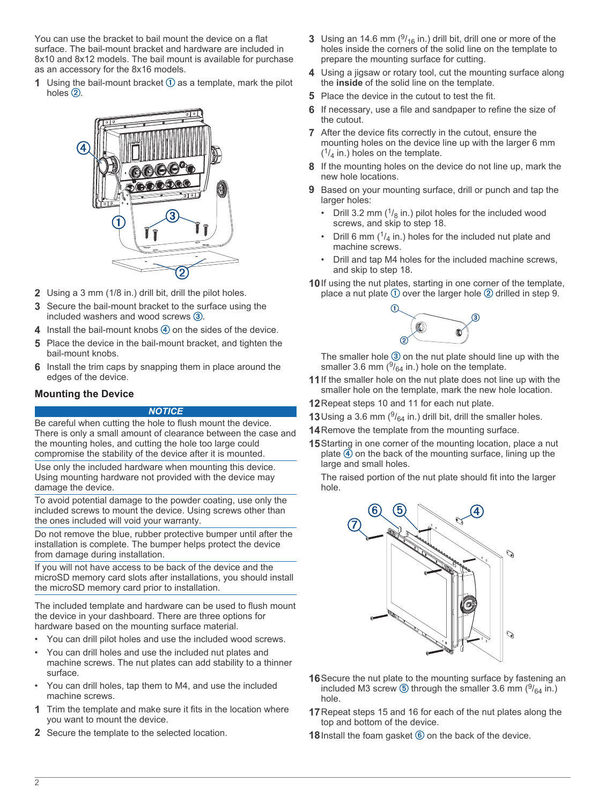You can use the bracket to bail mount the device on a flat surface. The bail-mount bracket and hardware are included in 8x10 and 8x12 models. The bail mount is available for purchase as an accessory for the 8x16 models.

**1** Using the bail-mount bracket  $\overline{0}$  as a template, mark the pilot holes  $(2)$ .



- **2** Using a 3 mm (1/8 in.) drill bit, drill the pilot holes.
- **3** Secure the bail-mount bracket to the surface using the included washers and wood screws  $(3)$ .
- **4** Install the bail-mount knobs  $\overline{4}$  on the sides of the device.
- **5** Place the device in the bail-mount bracket, and tighten the bail-mount knobs.
- **6** Install the trim caps by snapping them in place around the edges of the device.

### **Mounting the Device**

#### *NOTICE*

Be careful when cutting the hole to flush mount the device. There is only a small amount of clearance between the case and the mounting holes, and cutting the hole too large could compromise the stability of the device after it is mounted.

Use only the included hardware when mounting this device. Using mounting hardware not provided with the device may damage the device.

To avoid potential damage to the powder coating, use only the included screws to mount the device. Using screws other than the ones included will void your warranty.

Do not remove the blue, rubber protective bumper until after the installation is complete. The bumper helps protect the device from damage during installation.

If you will not have access to be back of the device and the microSD memory card slots after installations, you should install the microSD memory card prior to installation.

The included template and hardware can be used to flush mount the device in your dashboard. There are three options for hardware based on the mounting surface material.

- You can drill pilot holes and use the included wood screws.
- You can drill holes and use the included nut plates and machine screws. The nut plates can add stability to a thinner surface.
- You can drill holes, tap them to M4, and use the included machine screws.
- **1** Trim the template and make sure it fits in the location where you want to mount the device.
- **2** Secure the template to the selected location.
- **3** Using an 14.6 mm  $(^{9}$ /<sub>16</sub> in.) drill bit, drill one or more of the holes inside the corners of the solid line on the template to prepare the mounting surface for cutting.
- **4** Using a jigsaw or rotary tool, cut the mounting surface along the **inside** of the solid line on the template.
- **5** Place the device in the cutout to test the fit.
- **6** If necessary, use a file and sandpaper to refine the size of the cutout.
- **7** After the device fits correctly in the cutout, ensure the mounting holes on the device line up with the larger 6 mm  $(1/4)$  in.) holes on the template.
- **8** If the mounting holes on the device do not line up, mark the new hole locations.
- **9** Based on your mounting surface, drill or punch and tap the larger holes:
	- Drill 3.2 mm  $(^{1}/_{8}$  in.) pilot holes for the included wood screws, and skip to step 18.
	- Drill 6 mm  $(1/4)$  in.) holes for the included nut plate and machine screws.
	- Drill and tap M4 holes for the included machine screws, and skip to step 18.

**10**If using the nut plates, starting in one corner of the template, place a nut plate  $\odot$  over the larger hole  $\oslash$  drilled in step 9.



The smaller hole  $\circled{3}$  on the nut plate should line up with the smaller 3.6 mm  $(^{9}/_{64}$  in.) hole on the template.

- **11**If the smaller hole on the nut plate does not line up with the smaller hole on the template, mark the new hole location.
- **12**Repeat steps 10 and 11 for each nut plate.
- **13** Using a 3.6 mm  $(9/64)$  in.) drill bit, drill the smaller holes.
- **14**Remove the template from the mounting surface.
- **15**Starting in one corner of the mounting location, place a nut plate  $\widetilde{4}$  on the back of the mounting surface, lining up the large and small holes.

The raised portion of the nut plate should fit into the larger hole.



- **16**Secure the nut plate to the mounting surface by fastening an included M3 screw  $\textcircled{\tiny{D}}$  through the smaller 3.6 mm ( $\frac{9}{64}$  in.) hole.
- **17**Repeat steps 15 and 16 for each of the nut plates along the top and bottom of the device.
- **18** Install the foam gasket  $\textcircled{\tiny{6}}$  on the back of the device.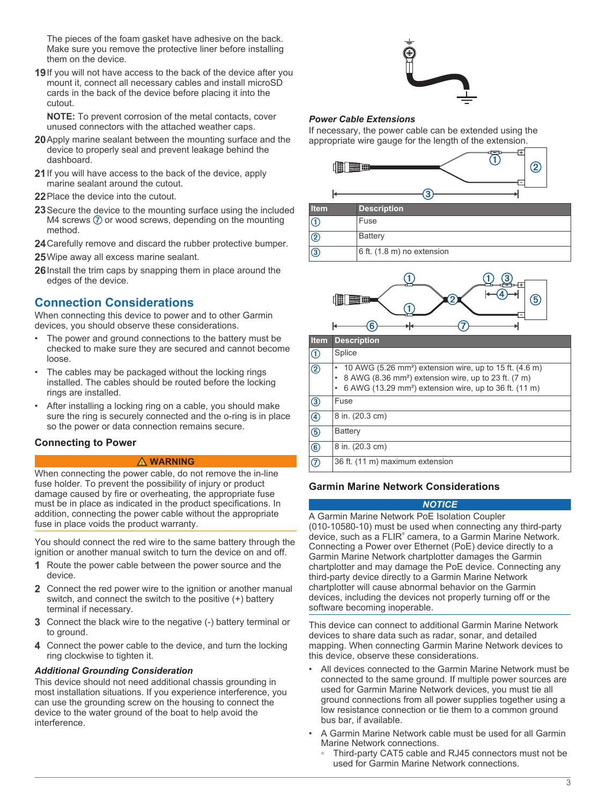<span id="page-2-0"></span>The pieces of the foam gasket have adhesive on the back. Make sure you remove the protective liner before installing them on the device.

**19**If you will not have access to the back of the device after you mount it, connect all necessary cables and install microSD cards in the back of the device before placing it into the cutout.

**NOTE:** To prevent corrosion of the metal contacts, cover unused connectors with the attached weather caps.

- **20**Apply marine sealant between the mounting surface and the device to properly seal and prevent leakage behind the dashboard.
- **21**If you will have access to the back of the device, apply marine sealant around the cutout.
- **22** Place the device into the cutout.
- **23**Secure the device to the mounting surface using the included M4 screws  $\oslash$  or wood screws, depending on the mounting method.
- **24**Carefully remove and discard the rubber protective bumper.
- **25**Wipe away all excess marine sealant.
- **26**Install the trim caps by snapping them in place around the edges of the device.

# **Connection Considerations**

When connecting this device to power and to other Garmin devices, you should observe these considerations.

- The power and ground connections to the battery must be checked to make sure they are secured and cannot become loose.
- The cables may be packaged without the locking rings installed. The cables should be routed before the locking rings are installed.
- After installing a locking ring on a cable, you should make sure the ring is securely connected and the o-ring is in place so the power or data connection remains secure.

### **Connecting to Power**

#### **WARNING**

When connecting the power cable, do not remove the in-line fuse holder. To prevent the possibility of injury or product damage caused by fire or overheating, the appropriate fuse must be in place as indicated in the product specifications. In addition, connecting the power cable without the appropriate fuse in place voids the product warranty.

You should connect the red wire to the same battery through the ignition or another manual switch to turn the device on and off.

- **1** Route the power cable between the power source and the device.
- **2** Connect the red power wire to the ignition or another manual switch, and connect the switch to the positive (+) battery terminal if necessary.
- **3** Connect the black wire to the negative (-) battery terminal or to ground.
- **4** Connect the power cable to the device, and turn the locking ring clockwise to tighten it.

#### *Additional Grounding Consideration*

This device should not need additional chassis grounding in most installation situations. If you experience interference, you can use the grounding screw on the housing to connect the device to the water ground of the boat to help avoid the interference.



#### *Power Cable Extensions*

If necessary, the power cable can be extended using the appropriate wire gauge for the length of the extension.







| <b>Item</b>    | <b>Description</b>                                                                                                                                                                                            |
|----------------|---------------------------------------------------------------------------------------------------------------------------------------------------------------------------------------------------------------|
| $^{\circledR}$ | Splice                                                                                                                                                                                                        |
| $^{\circledR}$ | 10 AWG (5.26 mm <sup>2</sup> ) extension wire, up to 15 ft. (4.6 m)<br>8 AWG (8.36 mm <sup>2</sup> ) extension wire, up to 23 ft. (7 m)<br>6 AWG (13.29 mm <sup>2</sup> ) extension wire, up to 36 ft. (11 m) |
| $\circledS$    | Fuse                                                                                                                                                                                                          |
| $\circledast$  | 8 in. (20.3 cm)                                                                                                                                                                                               |
| $\circledS$    | Battery                                                                                                                                                                                                       |
| $\circledast$  | 8 in. (20.3 cm)                                                                                                                                                                                               |
| $\circledcirc$ | 36 ft. (11 m) maximum extension                                                                                                                                                                               |

### **Garmin Marine Network Considerations**

# *NOTICE*

A Garmin Marine Network PoE Isolation Coupler (010-10580-10) must be used when connecting any third-party device, such as a FLIR<sup>®</sup> camera, to a Garmin Marine Network. Connecting a Power over Ethernet (PoE) device directly to a Garmin Marine Network chartplotter damages the Garmin chartplotter and may damage the PoE device. Connecting any third-party device directly to a Garmin Marine Network chartplotter will cause abnormal behavior on the Garmin devices, including the devices not properly turning off or the software becoming inoperable.

This device can connect to additional Garmin Marine Network devices to share data such as radar, sonar, and detailed mapping. When connecting Garmin Marine Network devices to this device, observe these considerations.

- All devices connected to the Garmin Marine Network must be connected to the same ground. If multiple power sources are used for Garmin Marine Network devices, you must tie all ground connections from all power supplies together using a low resistance connection or tie them to a common ground bus bar, if available.
- A Garmin Marine Network cable must be used for all Garmin Marine Network connections.
	- Third-party CAT5 cable and RJ45 connectors must not be used for Garmin Marine Network connections.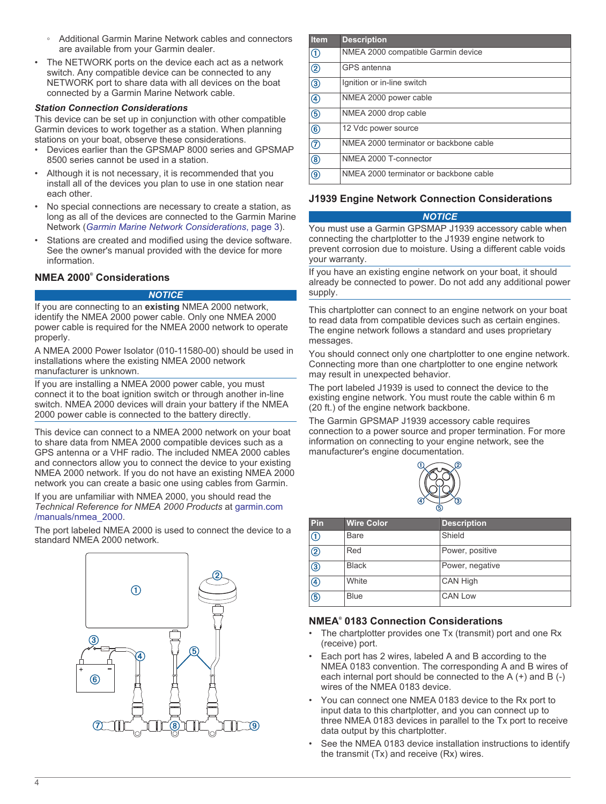- Additional Garmin Marine Network cables and connectors are available from your Garmin dealer.
- The NETWORK ports on the device each act as a network switch. Any compatible device can be connected to any NETWORK port to share data with all devices on the boat connected by a Garmin Marine Network cable.

#### *Station Connection Considerations*

This device can be set up in conjunction with other compatible Garmin devices to work together as a station. When planning stations on your boat, observe these considerations.

- Devices earlier than the GPSMAP 8000 series and GPSMAP 8500 series cannot be used in a station.
- Although it is not necessary, it is recommended that you install all of the devices you plan to use in one station near each other.
- No special connections are necessary to create a station, as long as all of the devices are connected to the Garmin Marine Network (*[Garmin Marine Network Considerations](#page-2-0)*, page 3).
- Stations are created and modified using the device software. See the owner's manual provided with the device for more information.

### **NMEA 2000® Considerations**

#### *NOTICE*

If you are connecting to an **existing** NMEA 2000 network, identify the NMEA 2000 power cable. Only one NMEA 2000 power cable is required for the NMEA 2000 network to operate properly.

A NMEA 2000 Power Isolator (010-11580-00) should be used in installations where the existing NMEA 2000 network manufacturer is unknown.

If you are installing a NMEA 2000 power cable, you must connect it to the boat ignition switch or through another in-line switch. NMEA 2000 devices will drain your battery if the NMEA 2000 power cable is connected to the battery directly.

This device can connect to a NMEA 2000 network on your boat to share data from NMEA 2000 compatible devices such as a GPS antenna or a VHF radio. The included NMEA 2000 cables and connectors allow you to connect the device to your existing NMEA 2000 network. If you do not have an existing NMEA 2000 network you can create a basic one using cables from Garmin.

If you are unfamiliar with NMEA 2000, you should read the *Technical Reference for NMEA 2000 Products* at [garmin.com](http://www.garmin.com/manuals/nmea_2000) [/manuals/nmea\\_2000.](http://www.garmin.com/manuals/nmea_2000)

The port labeled NMEA 2000 is used to connect the device to a standard NMEA 2000 network.



| <b>Item</b> | <b>Description</b>                     |
|-------------|----------------------------------------|
| ⋒           | NMEA 2000 compatible Garmin device     |
| ②           | GPS antenna                            |
| ③           | Ignition or in-line switch             |
| 4           | NMEA 2000 power cable                  |
| ௫           | NMEA 2000 drop cable                   |
| 6           | 12 Vdc power source                    |
| ⑦           | NMEA 2000 terminator or backbone cable |
| ⑧           | NMEA 2000 T-connector                  |
| இ           | NMFA 2000 terminator or backbone cable |

# **J1939 Engine Network Connection Considerations**

#### *NOTICE*

You must use a Garmin GPSMAP J1939 accessory cable when connecting the chartplotter to the J1939 engine network to prevent corrosion due to moisture. Using a different cable voids your warranty.

If you have an existing engine network on your boat, it should already be connected to power. Do not add any additional power supply.

This chartplotter can connect to an engine network on your boat to read data from compatible devices such as certain engines. The engine network follows a standard and uses proprietary messages.

You should connect only one chartplotter to one engine network. Connecting more than one chartplotter to one engine network may result in unexpected behavior.

The port labeled J1939 is used to connect the device to the existing engine network. You must route the cable within 6 m (20 ft.) of the engine network backbone.

The Garmin GPSMAP J1939 accessory cable requires connection to a power source and proper termination. For more information on connecting to your engine network, see the manufacturer's engine documentation.



| Pin            | <b>Wire Color</b> | <b>Description</b> |
|----------------|-------------------|--------------------|
| $^\copyright$  | Bare              | Shield             |
| $^{\circledR}$ | Red               | Power, positive    |
| ③              | <b>Black</b>      | Power, negative    |
| $^{\circledR}$ | White             | CAN High           |
| $\circledS$    | <b>Blue</b>       | <b>CAN Low</b>     |

### **NMEA® 0183 Connection Considerations**

- The chartplotter provides one Tx (transmit) port and one Rx (receive) port.
- Each port has 2 wires, labeled A and B according to the NMEA 0183 convention. The corresponding A and B wires of each internal port should be connected to the A (+) and B (-) wires of the NMEA 0183 device.
- You can connect one NMEA 0183 device to the Rx port to input data to this chartplotter, and you can connect up to three NMEA 0183 devices in parallel to the Tx port to receive data output by this chartplotter.
- See the NMEA 0183 device installation instructions to identify the transmit (Tx) and receive (Rx) wires.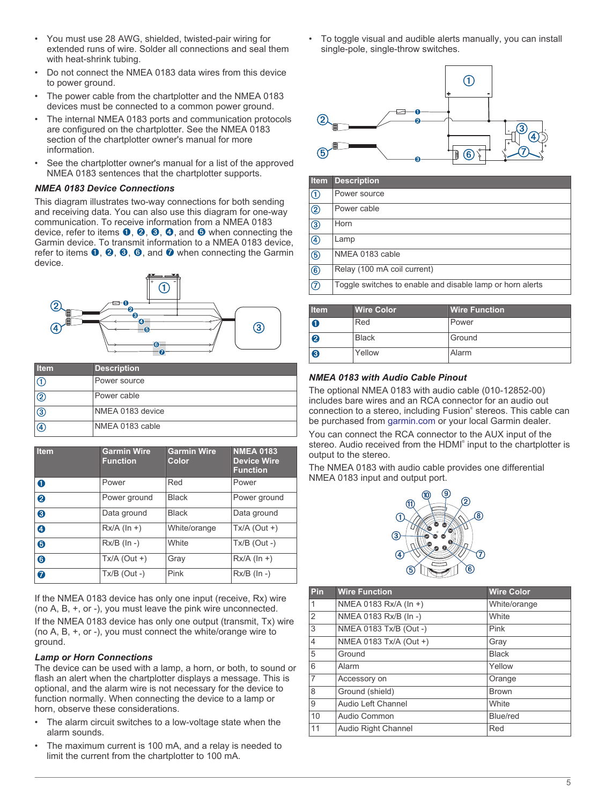- You must use 28 AWG, shielded, twisted-pair wiring for extended runs of wire. Solder all connections and seal them with heat-shrink tubing.
- Do not connect the NMEA 0183 data wires from this device to power ground.
- The power cable from the chartplotter and the NMEA 0183 devices must be connected to a common power ground.
- The internal NMEA 0183 ports and communication protocols are configured on the chartplotter. See the NMEA 0183 section of the chartplotter owner's manual for more information.
- See the chartplotter owner's manual for a list of the approved NMEA 0183 sentences that the chartplotter supports.

#### *NMEA 0183 Device Connections*

This diagram illustrates two-way connections for both sending and receiving data. You can also use this diagram for one-way communication. To receive information from a NMEA 0183 device, refer to items  $\mathbf{0}, \mathbf{\Theta}, \mathbf{\Theta}, \mathbf{\Theta}$ , and  $\mathbf{\Theta}$  when connecting the Garmin device. To transmit information to a NMEA 0183 device, refer to items  $\mathbf{0}, \mathbf{\Theta}, \mathbf{\Theta}, \mathbf{\Theta},$  and  $\mathbf{\Theta}$  when connecting the Garmin device.



| <b>Item</b>    | <b>Description</b> |
|----------------|--------------------|
| IŒ             | Power source       |
| ©              | Power cable        |
| $\circled{3}$  | NMEA 0183 device   |
| $\overline{a}$ | NMEA 0183 cable    |

| <b>Item</b>           | <b>Garmin Wire</b><br><b>Function</b> | <b>Garmin Wire</b><br>Color | <b>NMEA 0183</b><br><b>Device Wire</b><br><b>Function</b> |
|-----------------------|---------------------------------------|-----------------------------|-----------------------------------------------------------|
| $\bullet$             | Power                                 | Red                         | Power                                                     |
| $\boldsymbol{\Omega}$ | Power ground                          | <b>Black</b>                | Power ground                                              |
| ❸                     | Data ground                           | <b>Black</b>                | Data ground                                               |
| ❹                     | $Rx/A$ ( $\ln +$ )                    | White/orange                | $Tx/A$ (Out +)                                            |
| 6                     | $Rx/B$ (In -)                         | <b>White</b>                | $Tx/B$ (Out -)                                            |
| 6                     | $Tx/A$ (Out +)                        | Gray                        | $Rx/A$ (ln +)                                             |
| $\bullet$             | $Tx/B$ (Out -)                        | Pink                        | $Rx/B$ ( $\ln -$ )                                        |

If the NMEA 0183 device has only one input (receive, Rx) wire (no A, B, +, or -), you must leave the pink wire unconnected. If the NMEA 0183 device has only one output (transmit, Tx) wire (no A, B, +, or -), you must connect the white/orange wire to ground.

#### *Lamp or Horn Connections*

The device can be used with a lamp, a horn, or both, to sound or flash an alert when the chartplotter displays a message. This is optional, and the alarm wire is not necessary for the device to function normally. When connecting the device to a lamp or horn, observe these considerations.

- The alarm circuit switches to a low-voltage state when the alarm sounds.
- The maximum current is 100 mA, and a relay is needed to limit the current from the chartplotter to 100 mA.

• To toggle visual and audible alerts manually, you can install single-pole, single-throw switches.



| Item           | <b>Description</b>                                        |
|----------------|-----------------------------------------------------------|
| ⊕              | Power source                                              |
| $^{\circledR}$ | Power cable                                               |
| $\circled{3}$  | Horn                                                      |
| $\circledA$    | Lamp                                                      |
| $\circledS$    | NMEA 0183 cable                                           |
| $\circledast$  | Relay (100 mA coil current)                               |
| $^{\circledR}$ | Toggle switches to enable and disable lamp or horn alerts |
|                |                                                           |

| <b>Item</b>      | <b>Wire Color</b> | <b>Wire Function</b> |
|------------------|-------------------|----------------------|
| 0                | Red               | Power                |
| $\boldsymbol{c}$ | <b>Black</b>      | Ground               |
| 8                | Yellow            | Alarm                |

### *NMEA 0183 with Audio Cable Pinout*

The optional NMEA 0183 with audio cable (010-12852-00) includes bare wires and an RCA connector for an audio out connection to a stereo, including Fusion® stereos. This cable can be purchased from [garmin.com](http://www.support.garmin.com) or your local Garmin dealer.

You can connect the RCA connector to the AUX input of the stereo. Audio received from the HDMI® input to the chartplotter is output to the stereo.

The NMEA 0183 with audio cable provides one differential NMEA 0183 input and output port.



| Pin            | <b>Wire Function</b>   | <b>Wire Color</b> |
|----------------|------------------------|-------------------|
| $\mathbf{1}$   | NMEA 0183 Rx/A (In +)  | White/orange      |
| $\overline{2}$ | NMEA 0183 Rx/B (In -)  | White             |
| 3              | NMEA 0183 Tx/B (Out -) | Pink              |
| $\overline{4}$ | NMEA 0183 Tx/A (Out +) | Gray              |
| 5              | Ground                 | <b>Black</b>      |
| 6              | Alarm                  | Yellow            |
| $\overline{7}$ | Accessory on           | Orange            |
| 8              | Ground (shield)        | <b>Brown</b>      |
| 9              | Audio Left Channel     | White             |
| 10             | Audio Common           | Blue/red          |
| 11             | Audio Right Channel    | Red               |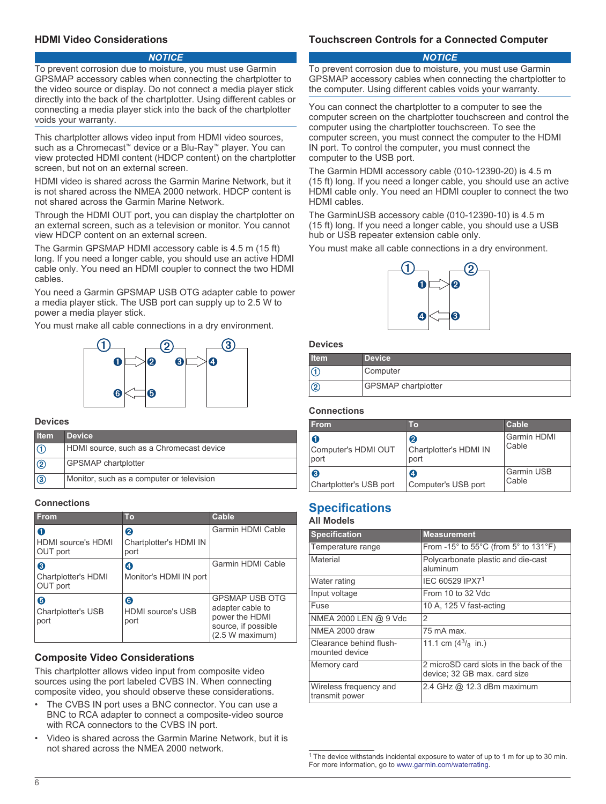### **HDMI Video Considerations**

#### *NOTICE*

To prevent corrosion due to moisture, you must use Garmin GPSMAP accessory cables when connecting the chartplotter to the video source or display. Do not connect a media player stick directly into the back of the chartplotter. Using different cables or connecting a media player stick into the back of the chartplotter voids your warranty.

This chartplotter allows video input from HDMI video sources, such as a Chromecast<sup>™</sup> device or a Blu-Ray<sup>™</sup> player. You can view protected HDMI content (HDCP content) on the chartplotter screen, but not on an external screen.

HDMI video is shared across the Garmin Marine Network, but it is not shared across the NMEA 2000 network. HDCP content is not shared across the Garmin Marine Network.

Through the HDMI OUT port, you can display the chartplotter on an external screen, such as a television or monitor. You cannot view HDCP content on an external screen.

The Garmin GPSMAP HDMI accessory cable is 4.5 m (15 ft) long. If you need a longer cable, you should use an active HDMI cable only. You need an HDMI coupler to connect the two HDMI cables.

You need a Garmin GPSMAP USB OTG adapter cable to power a media player stick. The USB port can supply up to 2.5 W to power a media player stick.

You must make all cable connections in a dry environment.



#### **Devices**

| <b>I</b> tem  | <b>Device</b>                             |
|---------------|-------------------------------------------|
|               | HDMI source, such as a Chromecast device  |
| $\circled{2}$ | <b>GPSMAP</b> chartplotter                |
| $\sqrt{3}$    | Monitor, such as a computer or television |

#### **Connections**

| <b>From</b>                                       | <b>To</b>                             | Cable                                                                                                 |
|---------------------------------------------------|---------------------------------------|-------------------------------------------------------------------------------------------------------|
| 0<br><b>HDMI</b> source's <b>HDMI</b><br>OUT port | Q<br>Chartplotter's HDMI IN<br>port   | Garmin HDMI Cable                                                                                     |
| 8<br><b>Chartplotter's HDMI</b><br>OUT port       | A<br>Monitor's HDMI IN port           | Garmin HDMI Cable                                                                                     |
| 6<br><b>Chartplotter's USB</b><br>port            | 6<br><b>HDMI</b> source's USB<br>port | <b>GPSMAP USB OTG</b><br>adapter cable to<br>power the HDMI<br>source, if possible<br>(2.5 W maximum) |

### **Composite Video Considerations**

This chartplotter allows video input from composite video sources using the port labeled CVBS IN. When connecting composite video, you should observe these considerations.

- The CVBS IN port uses a BNC connector. You can use a BNC to RCA adapter to connect a composite-video source with RCA connectors to the CVBS IN port.
- Video is shared across the Garmin Marine Network, but it is not shared across the NMEA 2000 network.

# **Touchscreen Controls for a Connected Computer**

#### *NOTICE*

To prevent corrosion due to moisture, you must use Garmin GPSMAP accessory cables when connecting the chartplotter to the computer. Using different cables voids your warranty.

You can connect the chartplotter to a computer to see the computer screen on the chartplotter touchscreen and control the computer using the chartplotter touchscreen. To see the computer screen, you must connect the computer to the HDMI IN port. To control the computer, you must connect the computer to the USB port.

The Garmin HDMI accessory cable (010-12390-20) is 4.5 m (15 ft) long. If you need a longer cable, you should use an active HDMI cable only. You need an HDMI coupler to connect the two HDMI cables.

The GarminUSB accessory cable (010-12390-10) is 4.5 m (15 ft) long. If you need a longer cable, you should use a USB hub or USB repeater extension cable only.

You must make all cable connections in a dry environment.



**Devices**

| <b>Item</b> | <b>Device</b>              |
|-------------|----------------------------|
|             | Computer                   |
| <b>2</b>    | <b>GPSMAP</b> chartplotter |

#### **Connections**

| <b>From</b>                      | Τо                                  | Cable                      |
|----------------------------------|-------------------------------------|----------------------------|
| O<br>Computer's HDMI OUT<br>port | 0<br>Chartplotter's HDMI IN<br>port | Garmin HDMI<br>Cable       |
| ❸<br>Chartplotter's USB port     | ø<br>Computer's USB port            | <b>Garmin USB</b><br>Cable |

# **Specifications**

# **All Models**

| <b>Specification</b>                      | <b>Measurement</b>                                                         |
|-------------------------------------------|----------------------------------------------------------------------------|
| Temperature range                         | From -15 $\degree$ to 55 $\degree$ C (from 5 $\degree$ to 131 $\degree$ F) |
| Material                                  | Polycarbonate plastic and die-cast<br>aluminum                             |
| Water rating                              | IEC 60529 IPX7 <sup>1</sup>                                                |
| Input voltage                             | From 10 to 32 Vdc                                                          |
| Fuse                                      | 10 A, 125 V fast-acting                                                    |
| NMEA 2000 LEN @ 9 Vdc                     | 2                                                                          |
| NMEA 2000 draw                            | 75 mA max                                                                  |
| Clearance behind flush-<br>mounted device | 11.1 cm $(4^3)_{8}$ in.)                                                   |
| Memory card                               | 2 microSD card slots in the back of the<br>device; 32 GB max. card size    |
| Wireless frequency and<br>transmit power  | 2.4 GHz @ 12.3 dBm maximum                                                 |

<sup>1</sup> The device withstands incidental exposure to water of up to 1 m for up to 30 min. For more information, go to [www.garmin.com/waterrating](http://www.garmin.com/waterrating).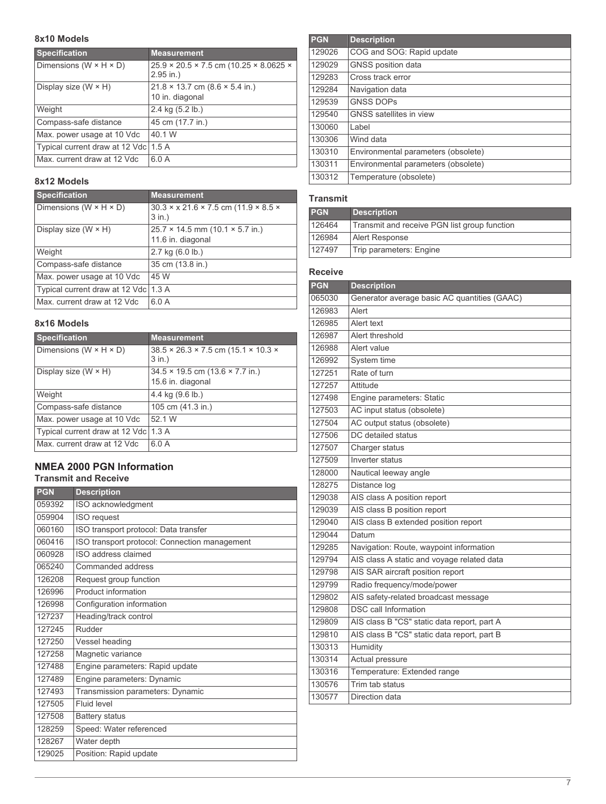# **8x10 Models**

| <b>Specification</b>                 | <b>Measurement</b>                                                              |
|--------------------------------------|---------------------------------------------------------------------------------|
| Dimensions ( $W \times H \times D$ ) | $25.9 \times 20.5 \times 7.5$ cm (10.25 $\times$ 8.0625 $\times$<br>$2.95$ in.) |
| Display size $(W \times H)$          | $21.8 \times 13.7$ cm $(8.6 \times 5.4$ in.)                                    |
|                                      | 10 in. diagonal                                                                 |
| Weight                               | 2.4 kg (5.2 lb.)                                                                |
| Compass-safe distance                | 45 cm (17.7 in.)                                                                |
| Max. power usage at 10 Vdc           | 40.1 W                                                                          |
| Typical current draw at 12 Vdc 1.5 A |                                                                                 |
| Max. current draw at 12 Vdc          | 6.0A                                                                            |

# **8x12 Models**

| <b>Specification</b>                 | <b>Measurement</b>                                                         |
|--------------------------------------|----------------------------------------------------------------------------|
| Dimensions ( $W \times H \times D$ ) | $30.3 \times x 21.6 \times 7.5$ cm (11.9 $\times$ 8.5 $\times$<br>$3$ in.) |
| Display size $(W \times H)$          | $25.7 \times 14.5$ mm (10.1 $\times$ 5.7 in.)<br>11.6 in. diagonal         |
| Weight                               | $2.7$ kg $(6.0$ lb.)                                                       |
| Compass-safe distance                | 35 cm (13.8 in.)                                                           |
| Max. power usage at 10 Vdc           | 45 W                                                                       |
| Typical current draw at 12 Vdc 1.3 A |                                                                            |
| Max. current draw at 12 Vdc          | 6.0A                                                                       |

# **8x16 Models**

| <b>Specification</b>                 | <b>Measurement</b>                                                        |
|--------------------------------------|---------------------------------------------------------------------------|
| Dimensions ( $W \times H \times D$ ) | $38.5 \times 26.3 \times 7.5$ cm (15.1 $\times$ 10.3 $\times$<br>$3$ in.) |
| Display size $(W \times H)$          | $34.5 \times 19.5$ cm $(13.6 \times 7.7)$ in.)<br>15.6 in. diagonal       |
| Weight                               | 4.4 kg $(9.6 \text{ lb.})$                                                |
| Compass-safe distance                | 105 cm (41.3 in.)                                                         |
| Max. power usage at 10 Vdc           | 52 1 W                                                                    |
| Typical current draw at 12 Vdc 1.3 A |                                                                           |
| Max. current draw at 12 Vdc          | 6.0A                                                                      |

# **NMEA 2000 PGN Information**

# **Transmit and Receive**

| <b>PGN</b> | <b>Description</b>                            |
|------------|-----------------------------------------------|
| 059392     | ISO acknowledgment                            |
| 059904     | <b>ISO</b> request                            |
| 060160     | ISO transport protocol: Data transfer         |
| 060416     | ISO transport protocol: Connection management |
| 060928     | ISO address claimed                           |
| 065240     | Commanded address                             |
| 126208     | Request group function                        |
| 126996     | Product information                           |
| 126998     | Configuration information                     |
| 127237     | Heading/track control                         |
| 127245     | Rudder                                        |
| 127250     | Vessel heading                                |
| 127258     | Magnetic variance                             |
| 127488     | Engine parameters: Rapid update               |
| 127489     | Engine parameters: Dynamic                    |
| 127493     | Transmission parameters: Dynamic              |
| 127505     | Fluid level                                   |
| 127508     | <b>Battery status</b>                         |
| 128259     | Speed: Water referenced                       |
| 128267     | Water depth                                   |
| 129025     | Position: Rapid update                        |

| <b>PGN</b> | <b>Description</b>                  |
|------------|-------------------------------------|
| 129026     | COG and SOG: Rapid update           |
| 129029     | <b>GNSS</b> position data           |
| 129283     | Cross track error                   |
| 129284     | Navigation data                     |
| 129539     | <b>GNSS DOPS</b>                    |
| 129540     | <b>GNSS</b> satellites in view      |
| 130060     | Label                               |
| 130306     | Wind data                           |
| 130310     | Environmental parameters (obsolete) |
| 130311     | Environmental parameters (obsolete) |
| 130312     | Temperature (obsolete)              |

# **Transmit**

| <b>PGN</b> | <b>Description</b>                           |
|------------|----------------------------------------------|
| 126464     | Transmit and receive PGN list group function |
| 126984     | Alert Response                               |
| 127497     | Trip parameters: Engine                      |

# **Receive**

| <b>PGN</b> | <b>Description</b>                           |
|------------|----------------------------------------------|
| 065030     | Generator average basic AC quantities (GAAC) |
| 126983     | Alert                                        |
| 126985     | Alert text                                   |
| 126987     | Alert threshold                              |
| 126988     | Alert value                                  |
| 126992     | System time                                  |
| 127251     | Rate of turn                                 |
| 127257     | Attitude                                     |
| 127498     | Engine parameters: Static                    |
| 127503     | AC input status (obsolete)                   |
| 127504     | AC output status (obsolete)                  |
| 127506     | DC detailed status                           |
| 127507     | Charger status                               |
| 127509     | Inverter status                              |
| 128000     | Nautical leeway angle                        |
| 128275     | Distance log                                 |
| 129038     | AIS class A position report                  |
| 129039     | AIS class B position report                  |
| 129040     | AIS class B extended position report         |
| 129044     | Datum                                        |
| 129285     | Navigation: Route, waypoint information      |
| 129794     | AIS class A static and voyage related data   |
| 129798     | AIS SAR aircraft position report             |
| 129799     | Radio frequency/mode/power                   |
| 129802     | AIS safety-related broadcast message         |
| 129808     | <b>DSC</b> call Information                  |
| 129809     | AIS class B "CS" static data report, part A  |
| 129810     | AIS class B "CS" static data report, part B  |
| 130313     | Humidity                                     |
| 130314     | Actual pressure                              |
| 130316     | Temperature: Extended range                  |
| 130576     | Trim tab status                              |
| 130577     | Direction data                               |